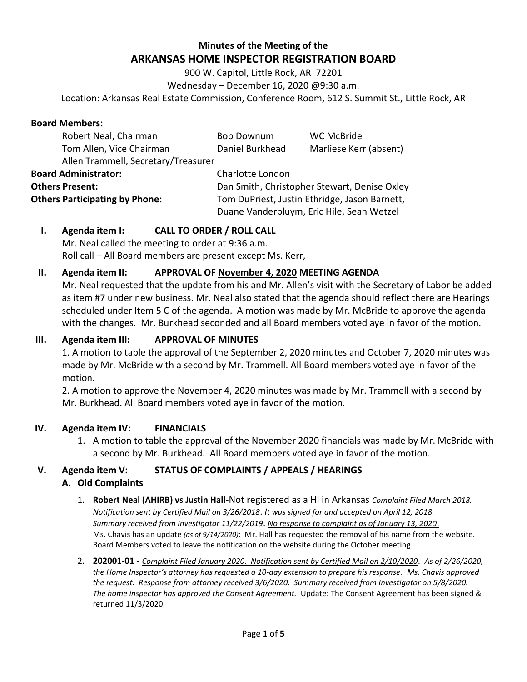# **Minutes of the Meeting of the ARKANSAS HOME INSPECTOR REGISTRATION BOARD**

900 W. Capitol, Little Rock, AR 72201 Wednesday – December 16, 2020 @9:30 a.m.

Location: Arkansas Real Estate Commission, Conference Room, 612 S. Summit St., Little Rock, AR

#### **Board Members:**

| Robert Neal, Chairman                 | <b>Bob Downum</b>                             | <b>WC McBride</b>      |
|---------------------------------------|-----------------------------------------------|------------------------|
| Tom Allen, Vice Chairman              | Daniel Burkhead                               | Marliese Kerr (absent) |
| Allen Trammell, Secretary/Treasurer   |                                               |                        |
| <b>Board Administrator:</b>           | Charlotte London                              |                        |
| <b>Others Present:</b>                | Dan Smith, Christopher Stewart, Denise Oxley  |                        |
| <b>Others Participating by Phone:</b> | Tom DuPriest, Justin Ethridge, Jason Barnett, |                        |
|                                       | Duane Vanderpluym, Eric Hile, Sean Wetzel     |                        |

# **I. Agenda item I: CALL TO ORDER / ROLL CALL**

Mr. Neal called the meeting to order at 9:36 a.m. Roll call – All Board members are present except Ms. Kerr,

#### **II. Agenda item II: APPROVAL OF November 4, 2020 MEETING AGENDA**

Mr. Neal requested that the update from his and Mr. Allen's visit with the Secretary of Labor be added as item #7 under new business. Mr. Neal also stated that the agenda should reflect there are Hearings scheduled under Item 5 C of the agenda. A motion was made by Mr. McBride to approve the agenda with the changes. Mr. Burkhead seconded and all Board members voted aye in favor of the motion.

#### **III. Agenda item III: APPROVAL OF MINUTES**

1. A motion to table the approval of the September 2, 2020 minutes and October 7, 2020 minutes was made by Mr. McBride with a second by Mr. Trammell. All Board members voted aye in favor of the motion.

2. A motion to approve the November 4, 2020 minutes was made by Mr. Trammell with a second by Mr. Burkhead. All Board members voted aye in favor of the motion.

## **IV. Agenda item IV: FINANCIALS**

1. A motion to table the approval of the November 2020 financials was made by Mr. McBride with a second by Mr. Burkhead. All Board members voted aye in favor of the motion.

## **V. Agenda item V: STATUS OF COMPLAINTS / APPEALS / HEARINGS**

## **A. Old Complaints**

- 1. **Robert Neal (AHIRB) vs Justin Hall**-Not registered as a HI in Arkansas *Complaint Filed March 2018. Notification sent by Certified Mail on 3/26/2018*. *It was signed for and accepted on April 12, 2018. Summary received from Investigator 11/22/2019*. *No response to complaint as of January 13, 2020*. Ms. Chavis has an update *(as of 9/14/2020)*: Mr. Hall has requested the removal of his name from the website. Board Members voted to leave the notification on the website during the October meeting.
- 2. **202001-01** *Complaint Filed January 2020. Notification sent by Certified Mail on 2/10/2020*. *As of 2/26/2020, the Home Inspector's attorney has requested a 10-day extension to prepare his response. Ms. Chavis approved the request. Response from attorney received 3/6/2020. Summary received from Investigator on 5/8/2020. The home inspector has approved the Consent Agreement.* Update: The Consent Agreement has been signed & returned 11/3/2020.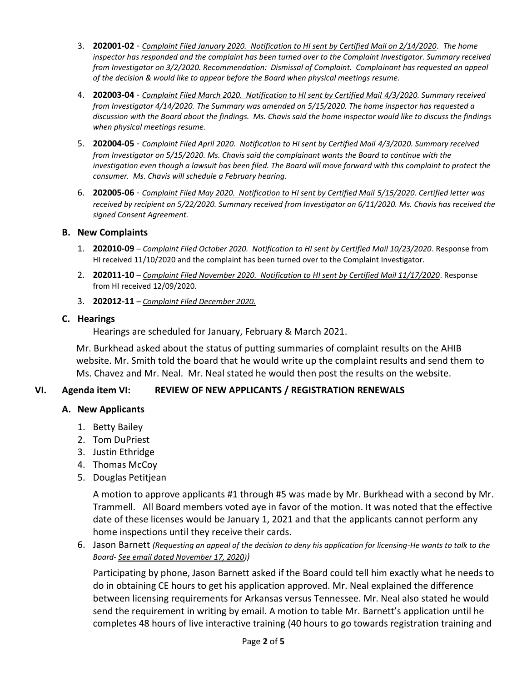- 3. **202001-02** *Complaint Filed January 2020. Notification to HI sent by Certified Mail on 2/14/2020*. *The home inspector has responded and the complaint has been turned over to the Complaint Investigator. Summary received from Investigator on 3/2/2020. Recommendation: Dismissal of Complaint. Complainant has requested an appeal of the decision & would like to appear before the Board when physical meetings resume.*
- 4. **202003-04** *Complaint Filed March 2020. Notification to HI sent by Certified Mail 4/3/2020. Summary received from Investigator 4/14/2020. The Summary was amended on 5/15/2020. The home inspector has requested a discussion with the Board about the findings. Ms. Chavis said the home inspector would like to discuss the findings when physical meetings resume.*
- 5. **202004-05** *Complaint Filed April 2020. Notification to HI sent by Certified Mail 4/3/2020. Summary received from Investigator on 5/15/2020. Ms. Chavis said the complainant wants the Board to continue with the investigation even though a lawsuit has been filed. The Board will move forward with this complaint to protect the consumer. Ms. Chavis will schedule a February hearing.*
- 6. **202005-06** *Complaint Filed May 2020. Notification to HI sent by Certified Mail 5/15/2020. Certified letter was received by recipient on 5/22/2020. Summary received from Investigator on 6/11/2020. Ms. Chavis has received the signed Consent Agreement.*

#### **B. New Complaints**

- 1. **202010-09** *Complaint Filed October 2020. Notification to HI sent by Certified Mail 10/23/2020*. Response from HI received 11/10/2020 and the complaint has been turned over to the Complaint Investigator.
- 2. **202011-10** *Complaint Filed November 2020. Notification to HI sent by Certified Mail 11/17/2020*. Response from HI received 12/09/2020.
- 3. **202012-11** *Complaint Filed December 2020.*

#### **C. Hearings**

Hearings are scheduled for January, February & March 2021.

Mr. Burkhead asked about the status of putting summaries of complaint results on the AHIB website. Mr. Smith told the board that he would write up the complaint results and send them to Ms. Chavez and Mr. Neal. Mr. Neal stated he would then post the results on the website.

## **VI. Agenda item VI: REVIEW OF NEW APPLICANTS / REGISTRATION RENEWALS /**

## **A. New Applicants**

- 1. Betty Bailey
- 2. Tom DuPriest
- 3. Justin Ethridge
- 4. Thomas McCoy
- 5. Douglas Petitjean

A motion to approve applicants #1 through #5 was made by Mr. Burkhead with a second by Mr. Trammell. All Board members voted aye in favor of the motion. It was noted that the effective date of these licenses would be January 1, 2021 and that the applicants cannot perform any home inspections until they receive their cards.

6. Jason Barnett *(Requesting an appeal of the decision to deny his application for licensing-He wants to talk to the Board- See email dated November 17, 2020))* 

Participating by phone, Jason Barnett asked if the Board could tell him exactly what he needs to do in obtaining CE hours to get his application approved. Mr. Neal explained the difference between licensing requirements for Arkansas versus Tennessee. Mr. Neal also stated he would send the requirement in writing by email. A motion to table Mr. Barnett's application until he completes 48 hours of live interactive training (40 hours to go towards registration training and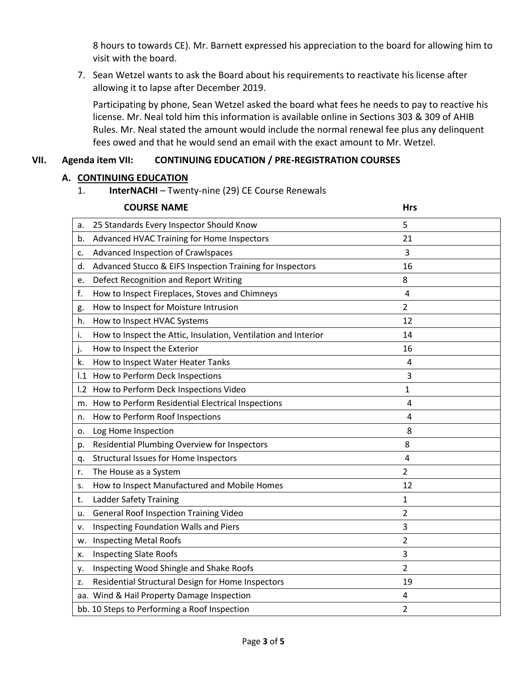8 hours to towards CE). Mr. Barnett expressed his appreciation to the board for allowing him to visit with the board.

7. Sean Wetzel wants to ask the Board about his requirements to reactivate his license after allowing it to lapse after December 2019.

Participating by phone, Sean Wetzel asked the board what fees he needs to pay to reactive his license. Mr. Neal told him this information is available online in Sections 303 & 309 of AHIB Rules. Mr. Neal stated the amount would include the normal renewal fee plus any delinquent fees owed and that he would send an email with the exact amount to Mr. Wetzel.

# **VII. Agenda item VII: CONTINUING EDUCATION / PRE-REGISTRATION COURSES**

## **A. CONTINUING EDUCATION**

1. **InterNACHI** – Twenty-nine (29) CE Course Renewals

| <b>COURSE NAME</b>                                             | <b>Hrs</b>                                                                                                                                     |  |
|----------------------------------------------------------------|------------------------------------------------------------------------------------------------------------------------------------------------|--|
| 25 Standards Every Inspector Should Know                       | 5                                                                                                                                              |  |
| Advanced HVAC Training for Home Inspectors                     | 21                                                                                                                                             |  |
| Advanced Inspection of Crawlspaces                             | 3                                                                                                                                              |  |
| Advanced Stucco & EIFS Inspection Training for Inspectors      | 16                                                                                                                                             |  |
| Defect Recognition and Report Writing                          | 8                                                                                                                                              |  |
| How to Inspect Fireplaces, Stoves and Chimneys                 | 4                                                                                                                                              |  |
| How to Inspect for Moisture Intrusion                          | 2                                                                                                                                              |  |
| How to Inspect HVAC Systems                                    | 12                                                                                                                                             |  |
| How to Inspect the Attic, Insulation, Ventilation and Interior | 14                                                                                                                                             |  |
| How to Inspect the Exterior                                    | 16                                                                                                                                             |  |
| How to Inspect Water Heater Tanks                              | 4                                                                                                                                              |  |
|                                                                | 3                                                                                                                                              |  |
| How to Perform Deck Inspections Video                          | 1                                                                                                                                              |  |
| How to Perform Residential Electrical Inspections              | 4                                                                                                                                              |  |
| How to Perform Roof Inspections                                | 4                                                                                                                                              |  |
| Log Home Inspection                                            | 8                                                                                                                                              |  |
| Residential Plumbing Overview for Inspectors                   | 8                                                                                                                                              |  |
| <b>Structural Issues for Home Inspectors</b>                   | 4                                                                                                                                              |  |
| The House as a System                                          | $\overline{2}$                                                                                                                                 |  |
| How to Inspect Manufactured and Mobile Homes                   | 12                                                                                                                                             |  |
| <b>Ladder Safety Training</b>                                  | 1                                                                                                                                              |  |
| <b>General Roof Inspection Training Video</b>                  | $\overline{2}$                                                                                                                                 |  |
| Inspecting Foundation Walls and Piers                          | 3                                                                                                                                              |  |
| <b>Inspecting Metal Roofs</b>                                  | 2                                                                                                                                              |  |
| <b>Inspecting Slate Roofs</b>                                  | 3                                                                                                                                              |  |
| Inspecting Wood Shingle and Shake Roofs                        | $\overline{2}$                                                                                                                                 |  |
| Residential Structural Design for Home Inspectors              | 19                                                                                                                                             |  |
|                                                                | 4                                                                                                                                              |  |
|                                                                | 2                                                                                                                                              |  |
|                                                                | I.1 How to Perform Deck Inspections<br>1.2<br>m.<br>aa. Wind & Hail Property Damage Inspection<br>bb. 10 Steps to Performing a Roof Inspection |  |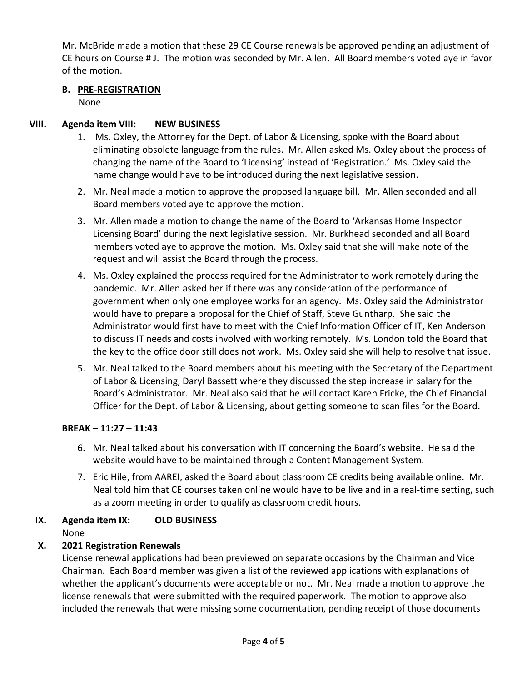Mr. McBride made a motion that these 29 CE Course renewals be approved pending an adjustment of CE hours on Course # J. The motion was seconded by Mr. Allen. All Board members voted aye in favor of the motion.

## **B. PRE-REGISTRATION**

None

## **VIII. Agenda item VIII: NEW BUSINESS**

- 1. Ms. Oxley, the Attorney for the Dept. of Labor & Licensing, spoke with the Board about eliminating obsolete language from the rules. Mr. Allen asked Ms. Oxley about the process of changing the name of the Board to 'Licensing' instead of 'Registration.' Ms. Oxley said the name change would have to be introduced during the next legislative session.
- 2. Mr. Neal made a motion to approve the proposed language bill. Mr. Allen seconded and all Board members voted aye to approve the motion.
- 3. Mr. Allen made a motion to change the name of the Board to 'Arkansas Home Inspector Licensing Board' during the next legislative session. Mr. Burkhead seconded and all Board members voted aye to approve the motion. Ms. Oxley said that she will make note of the request and will assist the Board through the process.
- 4. Ms. Oxley explained the process required for the Administrator to work remotely during the pandemic. Mr. Allen asked her if there was any consideration of the performance of government when only one employee works for an agency. Ms. Oxley said the Administrator would have to prepare a proposal for the Chief of Staff, Steve Guntharp. She said the Administrator would first have to meet with the Chief Information Officer of IT, Ken Anderson to discuss IT needs and costs involved with working remotely. Ms. London told the Board that the key to the office door still does not work. Ms. Oxley said she will help to resolve that issue.
- 5. Mr. Neal talked to the Board members about his meeting with the Secretary of the Department of Labor & Licensing, Daryl Bassett where they discussed the step increase in salary for the Board's Administrator. Mr. Neal also said that he will contact Karen Fricke, the Chief Financial Officer for the Dept. of Labor & Licensing, about getting someone to scan files for the Board.

## **BREAK – 11:27 – 11:43**

- 6. Mr. Neal talked about his conversation with IT concerning the Board's website. He said the website would have to be maintained through a Content Management System.
- 7. Eric Hile, from AAREI, asked the Board about classroom CE credits being available online. Mr. Neal told him that CE courses taken online would have to be live and in a real-time setting, such as a zoom meeting in order to qualify as classroom credit hours.

# **IX. Agenda item IX: OLD BUSINESS**

None

# **X. 2021 Registration Renewals**

License renewal applications had been previewed on separate occasions by the Chairman and Vice Chairman. Each Board member was given a list of the reviewed applications with explanations of whether the applicant's documents were acceptable or not. Mr. Neal made a motion to approve the license renewals that were submitted with the required paperwork. The motion to approve also included the renewals that were missing some documentation, pending receipt of those documents